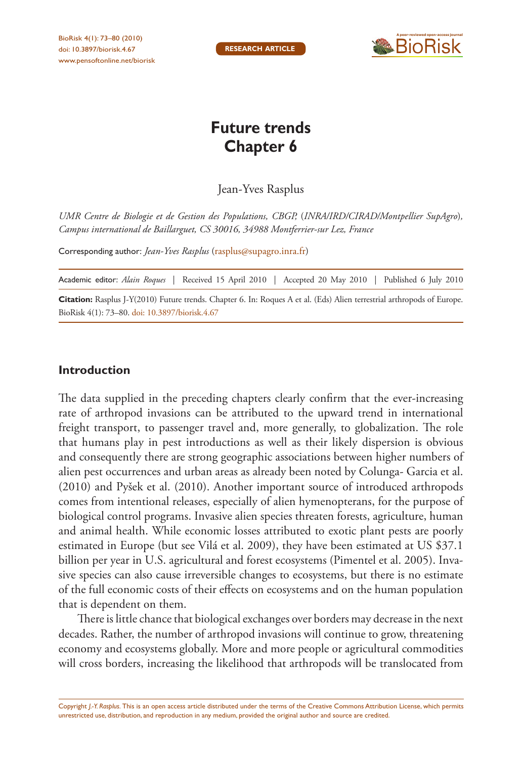

# **Future trends Chapter 6**

Jean-Yves Rasplus

*UMR Centre de Biologie et de Gestion des Populations, CBGP,* (*INRA/IRD/CIRAD/Montpellier SupAgro*)*, Campus international de Baillarguet, CS 30016, 34988 Montferrier-sur Lez, France*

Corresponding author: *Jean-Yves Rasplus* ([rasplus@supagro.inra.fr\)](mailto:rasplus@supagro.inra.fr)

| Academic editor: Alain Roques   Received 15 April 2010   Accepted 20 May 2010   Published 6 July 2010                          |  |  |  |  |  |
|--------------------------------------------------------------------------------------------------------------------------------|--|--|--|--|--|
| <b>Citation:</b> Rasplus J-Y(2010) Future trends. Chapter 6. In: Roques A et al. (Eds) Alien terrestrial arthropods of Europe. |  |  |  |  |  |

# **Introduction**

BioRisk 4(1): 73–80. [doi: 10.3897/biorisk.4.67](http://dx.doi.org/10.3897/biorisk.4.67)

The data supplied in the preceding chapters clearly confirm that the ever-increasing rate of arthropod invasions can be attributed to the upward trend in international freight transport, to passenger travel and, more generally, to globalization. The role that humans play in pest introductions as well as their likely dispersion is obvious and consequently there are strong geographic associations between higher numbers of alien pest occurrences and urban areas as already been noted by Colunga- Garcia et al. (2010) and Pyšek et al. (2010). Another important source of introduced arthropods comes from intentional releases, especially of alien hymenopterans, for the purpose of biological control programs. Invasive alien species threaten forests, agriculture, human and animal health. While economic losses attributed to exotic plant pests are poorly estimated in Europe (but see Vilá et al. 2009), they have been estimated at US \$37.1 billion per year in U.S. agricultural and forest ecosystems (Pimentel et al. 2005). Invasive species can also cause irreversible changes to ecosystems, but there is no estimate of the full economic costs of their effects on ecosystems and on the human population that is dependent on them.

There is little chance that biological exchanges over borders may decrease in the next decades. Rather, the number of arthropod invasions will continue to grow, threatening economy and ecosystems globally. More and more people or agricultural commodities will cross borders, increasing the likelihood that arthropods will be translocated from

Copyright *J.-Y. Rasplus.* This is an open access article distributed under the terms of the [Creative Commons Attribution License, w](http://creativecommons.org/licenses/by/3.0/)hich permits unrestricted use, distribution, and reproduction in any medium, provided the original author and source are credited.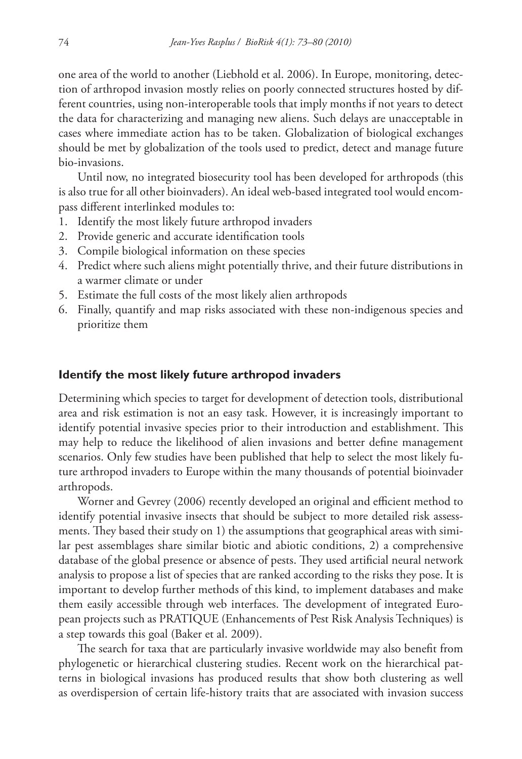one area of the world to another (Liebhold et al. 2006). In Europe, monitoring, detection of arthropod invasion mostly relies on poorly connected structures hosted by different countries, using non-interoperable tools that imply months if not years to detect the data for characterizing and managing new aliens. Such delays are unacceptable in cases where immediate action has to be taken. Globalization of biological exchanges should be met by globalization of the tools used to predict, detect and manage future bio-invasions.

Until now, no integrated biosecurity tool has been developed for arthropods (this is also true for all other bioinvaders). An ideal web-based integrated tool would encompass different interlinked modules to:

- 1. Identify the most likely future arthropod invaders
- 2. Provide generic and accurate identification tools
- 3. Compile biological information on these species
- 4. Predict where such aliens might potentially thrive, and their future distributions in a warmer climate or under
- 5. Estimate the full costs of the most likely alien arthropods
- 6. Finally, quantify and map risks associated with these non-indigenous species and prioritize them

# **Identify the most likely future arthropod invaders**

Determining which species to target for development of detection tools, distributional area and risk estimation is not an easy task. However, it is increasingly important to identify potential invasive species prior to their introduction and establishment. This may help to reduce the likelihood of alien invasions and better define management scenarios. Only few studies have been published that help to select the most likely future arthropod invaders to Europe within the many thousands of potential bioinvader arthropods.

Worner and Gevrey (2006) recently developed an original and efficient method to identify potential invasive insects that should be subject to more detailed risk assessments. They based their study on 1) the assumptions that geographical areas with similar pest assemblages share similar biotic and abiotic conditions, 2) a comprehensive database of the global presence or absence of pests. They used artificial neural network analysis to propose a list of species that are ranked according to the risks they pose. It is important to develop further methods of this kind, to implement databases and make them easily accessible through web interfaces. The development of integrated European projects such as PRATIQUE (Enhancements of Pest Risk Analysis Techniques) is a step towards this goal (Baker et al. 2009).

The search for taxa that are particularly invasive worldwide may also benefit from phylogenetic or hierarchical clustering studies. Recent work on the hierarchical patterns in biological invasions has produced results that show both clustering as well as overdispersion of certain life-history traits that are associated with invasion success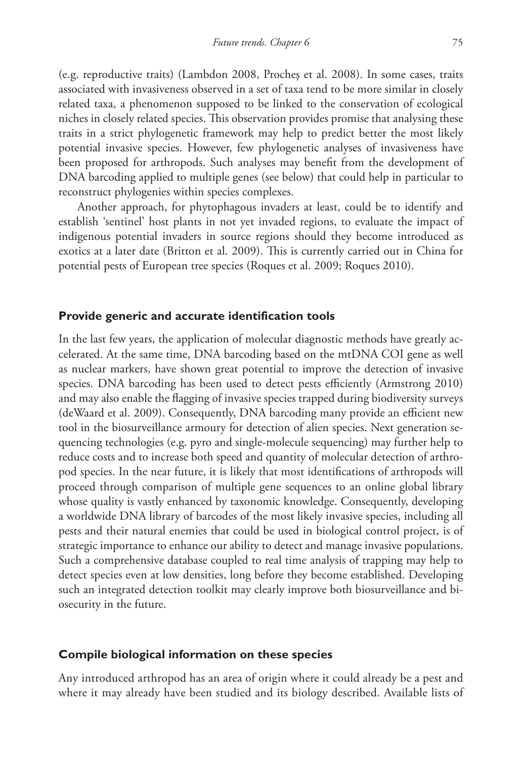(e.g. reproductive traits) (Lambdon 2008, Procheş et al. 2008). In some cases, traits associated with invasiveness observed in a set of taxa tend to be more similar in closely related taxa, a phenomenon supposed to be linked to the conservation of ecological niches in closely related species. This observation provides promise that analysing these traits in a strict phylogenetic framework may help to predict better the most likely potential invasive species. However, few phylogenetic analyses of invasiveness have been proposed for arthropods. Such analyses may benefit from the development of DNA barcoding applied to multiple genes (see below) that could help in particular to reconstruct phylogenies within species complexes.

Another approach, for phytophagous invaders at least, could be to identify and establish 'sentinel' host plants in not yet invaded regions, to evaluate the impact of indigenous potential invaders in source regions should they become introduced as exotics at a later date (Britton et al. 2009). This is currently carried out in China for potential pests of European tree species (Roques et al. 2009; Roques 2010).

# **Provide generic and accurate identification tools**

In the last few years, the application of molecular diagnostic methods have greatly accelerated. At the same time, DNA barcoding based on the mtDNA COI gene as well as nuclear markers, have shown great potential to improve the detection of invasive species. DNA barcoding has been used to detect pests efficiently (Armstrong 2010) and may also enable the flagging of invasive species trapped during biodiversity surveys (deWaard et al. 2009). Consequently, DNA barcoding many provide an efficient new tool in the biosurveillance armoury for detection of alien species. Next generation sequencing technologies (e.g. pyro and single-molecule sequencing) may further help to reduce costs and to increase both speed and quantity of molecular detection of arthropod species. In the near future, it is likely that most identifications of arthropods will proceed through comparison of multiple gene sequences to an online global library whose quality is vastly enhanced by taxonomic knowledge. Consequently, developing a worldwide DNA library of barcodes of the most likely invasive species, including all pests and their natural enemies that could be used in biological control project, is of strategic importance to enhance our ability to detect and manage invasive populations. Such a comprehensive database coupled to real time analysis of trapping may help to detect species even at low densities, long before they become established. Developing such an integrated detection toolkit may clearly improve both biosurveillance and biosecurity in the future.

# **Compile biological information on these species**

Any introduced arthropod has an area of origin where it could already be a pest and where it may already have been studied and its biology described. Available lists of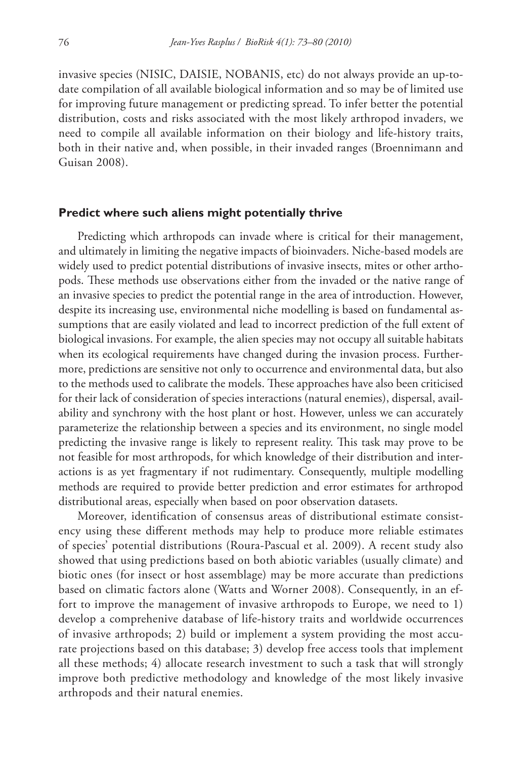invasive species (NISIC, DAISIE, NOBANIS, etc) do not always provide an up-todate compilation of all available biological information and so may be of limited use for improving future management or predicting spread. To infer better the potential distribution, costs and risks associated with the most likely arthropod invaders, we need to compile all available information on their biology and life-history traits, both in their native and, when possible, in their invaded ranges (Broennimann and Guisan 2008).

#### **Predict where such aliens might potentially thrive**

Predicting which arthropods can invade where is critical for their management, and ultimately in limiting the negative impacts of bioinvaders. Niche-based models are widely used to predict potential distributions of invasive insects, mites or other arthopods. These methods use observations either from the invaded or the native range of an invasive species to predict the potential range in the area of introduction. However, despite its increasing use, environmental niche modelling is based on fundamental assumptions that are easily violated and lead to incorrect prediction of the full extent of biological invasions. For example, the alien species may not occupy all suitable habitats when its ecological requirements have changed during the invasion process. Furthermore, predictions are sensitive not only to occurrence and environmental data, but also to the methods used to calibrate the models. These approaches have also been criticised for their lack of consideration of species interactions (natural enemies), dispersal, availability and synchrony with the host plant or host. However, unless we can accurately parameterize the relationship between a species and its environment, no single model predicting the invasive range is likely to represent reality. This task may prove to be not feasible for most arthropods, for which knowledge of their distribution and interactions is as yet fragmentary if not rudimentary. Consequently, multiple modelling methods are required to provide better prediction and error estimates for arthropod distributional areas, especially when based on poor observation datasets.

Moreover, identification of consensus areas of distributional estimate consistency using these different methods may help to produce more reliable estimates of species' potential distributions (Roura-Pascual et al. 2009). A recent study also showed that using predictions based on both abiotic variables (usually climate) and biotic ones (for insect or host assemblage) may be more accurate than predictions based on climatic factors alone (Watts and Worner 2008). Consequently, in an effort to improve the management of invasive arthropods to Europe, we need to 1) develop a comprehenive database of life-history traits and worldwide occurrences of invasive arthropods; 2) build or implement a system providing the most accurate projections based on this database; 3) develop free access tools that implement all these methods; 4) allocate research investment to such a task that will strongly improve both predictive methodology and knowledge of the most likely invasive arthropods and their natural enemies.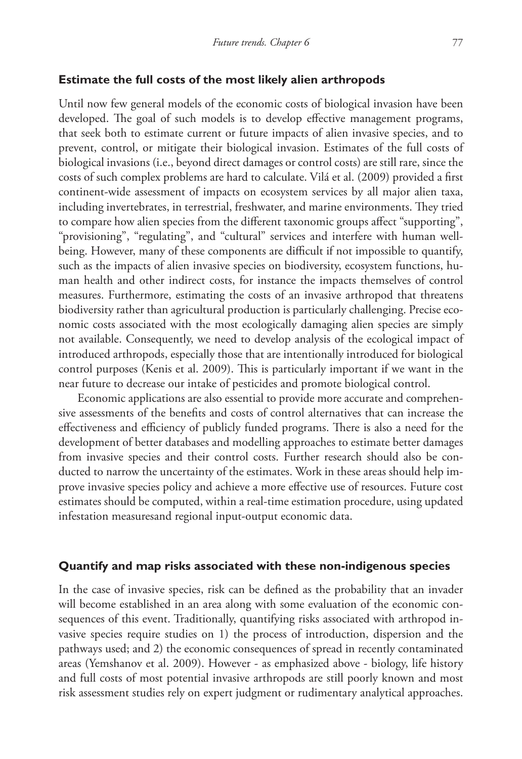# **Estimate the full costs of the most likely alien arthropods**

Until now few general models of the economic costs of biological invasion have been developed. The goal of such models is to develop effective management programs, that seek both to estimate current or future impacts of alien invasive species, and to prevent, control, or mitigate their biological invasion. Estimates of the full costs of biological invasions (i.e., beyond direct damages or control costs) are still rare, since the costs of such complex problems are hard to calculate. Vilá et al. (2009) provided a first continent-wide assessment of impacts on ecosystem services by all major alien taxa, including invertebrates, in terrestrial, freshwater, and marine environments. They tried to compare how alien species from the different taxonomic groups affect "supporting", "provisioning", "regulating", and "cultural" services and interfere with human wellbeing. However, many of these components are difficult if not impossible to quantify, such as the impacts of alien invasive species on biodiversity, ecosystem functions, human health and other indirect costs, for instance the impacts themselves of control measures. Furthermore, estimating the costs of an invasive arthropod that threatens biodiversity rather than agricultural production is particularly challenging. Precise economic costs associated with the most ecologically damaging alien species are simply not available. Consequently, we need to develop analysis of the ecological impact of introduced arthropods, especially those that are intentionally introduced for biological control purposes (Kenis et al. 2009). This is particularly important if we want in the near future to decrease our intake of pesticides and promote biological control.

Economic applications are also essential to provide more accurate and comprehensive assessments of the benefits and costs of control alternatives that can increase the effectiveness and efficiency of publicly funded programs. There is also a need for the development of better databases and modelling approaches to estimate better damages from invasive species and their control costs. Further research should also be conducted to narrow the uncertainty of the estimates. Work in these areas should help improve invasive species policy and achieve a more effective use of resources. Future cost estimates should be computed, within a real-time estimation procedure, using updated infestation measuresand regional input-output economic data.

## **Quantify and map risks associated with these non-indigenous species**

In the case of invasive species, risk can be defined as the probability that an invader will become established in an area along with some evaluation of the economic consequences of this event. Traditionally, quantifying risks associated with arthropod invasive species require studies on 1) the process of introduction, dispersion and the pathways used; and 2) the economic consequences of spread in recently contaminated areas (Yemshanov et al. 2009). However - as emphasized above - biology, life history and full costs of most potential invasive arthropods are still poorly known and most risk assessment studies rely on expert judgment or rudimentary analytical approaches.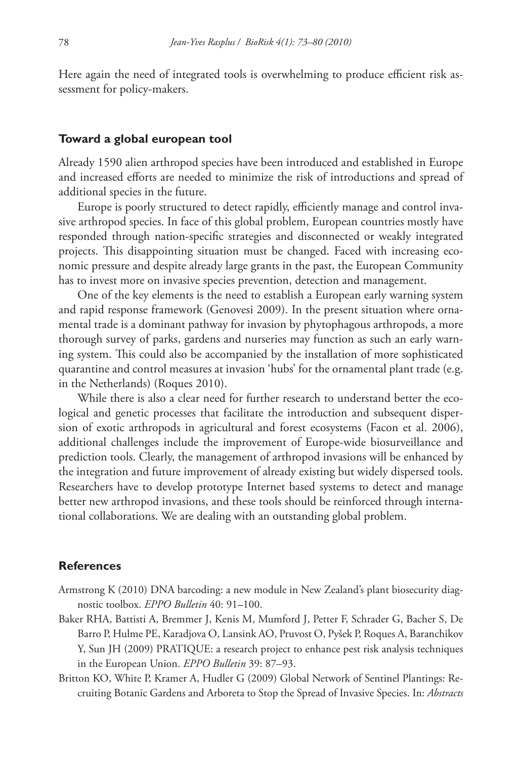Here again the need of integrated tools is overwhelming to produce efficient risk assessment for policy-makers.

## **Toward a global european tool**

Already 1590 alien arthropod species have been introduced and established in Europe and increased efforts are needed to minimize the risk of introductions and spread of additional species in the future.

Europe is poorly structured to detect rapidly, efficiently manage and control invasive arthropod species. In face of this global problem, European countries mostly have responded through nation-specific strategies and disconnected or weakly integrated projects. This disappointing situation must be changed. Faced with increasing economic pressure and despite already large grants in the past, the European Community has to invest more on invasive species prevention, detection and management.

One of the key elements is the need to establish a European early warning system and rapid response framework (Genovesi 2009). In the present situation where ornamental trade is a dominant pathway for invasion by phytophagous arthropods, a more thorough survey of parks, gardens and nurseries may function as such an early warning system. This could also be accompanied by the installation of more sophisticated quarantine and control measures at invasion 'hubs' for the ornamental plant trade (e.g. in the Netherlands) (Roques 2010).

While there is also a clear need for further research to understand better the ecological and genetic processes that facilitate the introduction and subsequent dispersion of exotic arthropods in agricultural and forest ecosystems (Facon et al. 2006), additional challenges include the improvement of Europe-wide biosurveillance and prediction tools. Clearly, the management of arthropod invasions will be enhanced by the integration and future improvement of already existing but widely dispersed tools. Researchers have to develop prototype Internet based systems to detect and manage better new arthropod invasions, and these tools should be reinforced through international collaborations. We are dealing with an outstanding global problem.

## **References**

- Armstrong K (2010) DNA barcoding: a new module in New Zealand's plant biosecurity diagnostic toolbox. *EPPO Bulletin* 40: 91–100.
- Baker RHA, Battisti A, Bremmer J, Kenis M, Mumford J, Petter F, Schrader G, Bacher S, De Barro P, Hulme PE, Karadjova O, Lansink AO, Pruvost O, Pyšek P, Roques A, Baranchikov Y, Sun JH (2009) PRATIQUE: a research project to enhance pest risk analysis techniques in the European Union. *EPPO Bulletin* 39: 87–93.
- Britton KO, White P, Kramer A, Hudler G (2009) Global Network of Sentinel Plantings: Recruiting Botanic Gardens and Arboreta to Stop the Spread of Invasive Species. In: *Abstracts*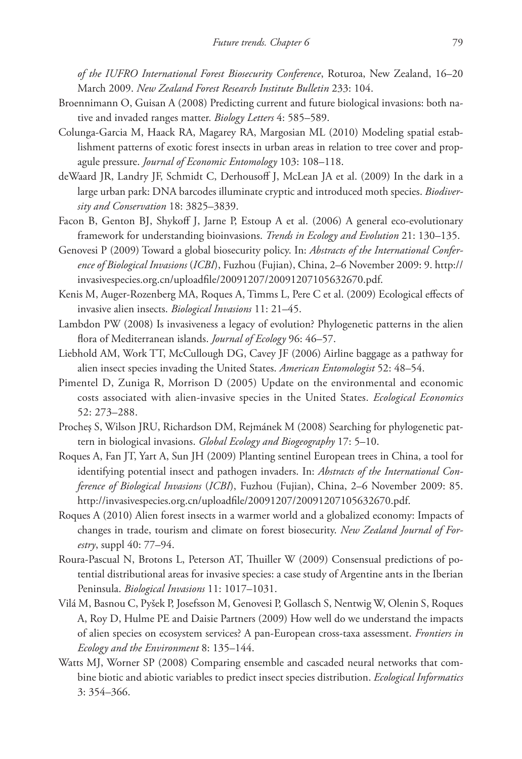*of the IUFRO International Forest Biosecurity Conference*, Roturoa, New Zealand, 16–20 March 2009. *New Zealand Forest Research Institute Bulletin* 233: 104.

- Broennimann O, Guisan A (2008) Predicting current and future biological invasions: both native and invaded ranges matter. *Biology Letters* 4: 585–589.
- Colunga-Garcia M, Haack RA, Magarey RA, Margosian ML (2010) Modeling spatial establishment patterns of exotic forest insects in urban areas in relation to tree cover and propagule pressure. *Journal of Economic Entomology* 103: 108–118.
- deWaard JR, Landry JF, Schmidt C, Derhousoff J, McLean JA et al. (2009) In the dark in a large urban park: DNA barcodes illuminate cryptic and introduced moth species. *Biodiversity and Conservation* 18: 3825–3839.
- Facon B, Genton BJ, Shykoff J, Jarne P, Estoup A et al. (2006) A general eco-evolutionary framework for understanding bioinvasions. *Trends in Ecology and Evolution* 21: 130–135.
- Genovesi P (2009) Toward a global biosecurity policy. In: *Abstracts of the International Conference of Biological Invasions* (*ICBI*), Fuzhou (Fujian), China, 2–6 November 2009: 9. http:// invasivespecies.org.cn/uploadfile/20091207/20091207105632670.pdf.
- Kenis M, Auger-Rozenberg MA, Roques A, Timms L, Pere C et al. (2009) Ecological effects of invasive alien insects. *Biological Invasions* 11: 21–45.
- Lambdon PW (2008) Is invasiveness a legacy of evolution? Phylogenetic patterns in the alien flora of Mediterranean islands. *Journal of Ecology* 96: 46–57.
- Liebhold AM, Work TT, McCullough DG, Cavey JF (2006) Airline baggage as a pathway for alien insect species invading the United States. *American Entomologist* 52: 48–54.
- Pimentel D, Zuniga R, Morrison D (2005) Update on the environmental and economic costs associated with alien-invasive species in the United States. *Ecological Economics* 52: 273–288.
- Procheş S, Wilson JRU, Richardson DM, Rejmánek M (2008) Searching for phylogenetic pattern in biological invasions. *Global Ecology and Biogeography* 17: 5–10.
- Roques A, Fan JT, Yart A, Sun JH (2009) Planting sentinel European trees in China, a tool for identifying potential insect and pathogen invaders. In: *Abstracts of the International Conference of Biological Invasions* (*ICBI*), Fuzhou (Fujian), China, 2–6 November 2009: 85. http://invasivespecies.org.cn/uploadfile/20091207/20091207105632670.pdf.
- Roques A (2010) Alien forest insects in a warmer world and a globalized economy: Impacts of changes in trade, tourism and climate on forest biosecurity. *New Zealand Journal of Forestry*, suppl 40: 77–94.
- Roura-Pascual N, Brotons L, Peterson AT, Thuiller W (2009) Consensual predictions of potential distributional areas for invasive species: a case study of Argentine ants in the Iberian Peninsula. *Biological Invasions* 11: 1017–1031.
- Vilá M, Basnou C, Pyšek P, Josefsson M, Genovesi P, Gollasch S, Nentwig W, Olenin S, Roques A, Roy D, Hulme PE and Daisie Partners (2009) How well do we understand the impacts of alien species on ecosystem services? A pan-European cross-taxa assessment. *Frontiers in Ecology and the Environment* 8: 135–144.
- Watts MJ, Worner SP (2008) Comparing ensemble and cascaded neural networks that combine biotic and abiotic variables to predict insect species distribution. *Ecological Informatics* 3: 354–366.